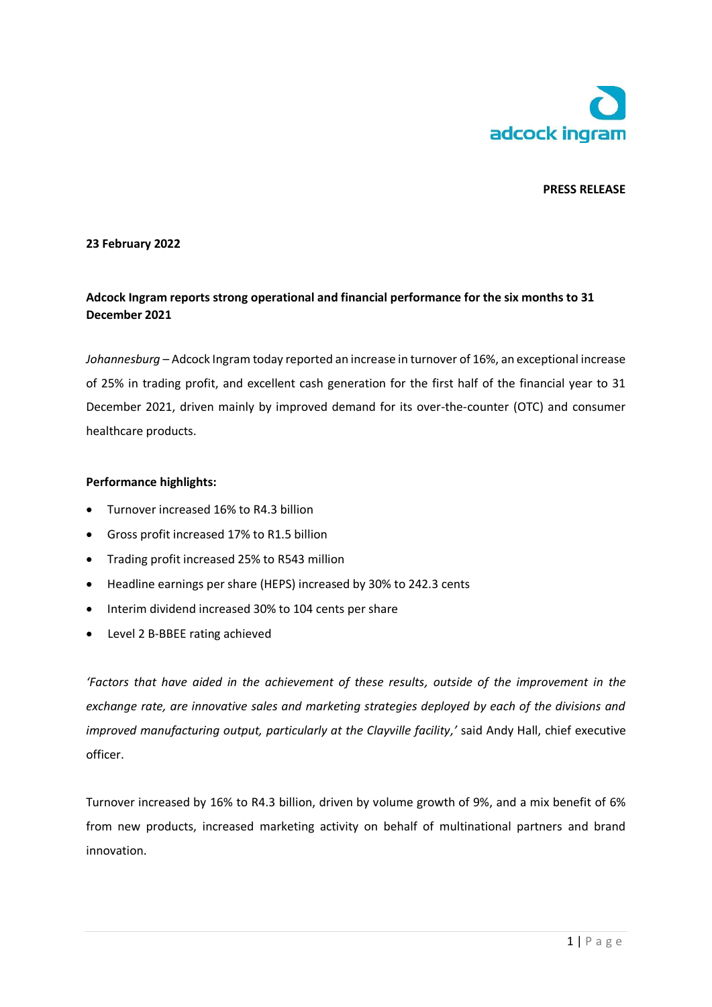

## **PRESS RELEASE**

### **23 February 2022**

# **Adcock Ingram reports strong operational and financial performance for the six months to 31 December 2021**

*Johannesburg* – Adcock Ingram today reported an increase in turnover of 16%, an exceptional increase of 25% in trading profit, and excellent cash generation for the first half of the financial year to 31 December 2021, driven mainly by improved demand for its over-the-counter (OTC) and consumer healthcare products.

### **Performance highlights:**

- Turnover increased 16% to R4.3 billion
- Gross profit increased 17% to R1.5 billion
- Trading profit increased 25% to R543 million
- Headline earnings per share (HEPS) increased by 30% to 242.3 cents
- Interim dividend increased 30% to 104 cents per share
- Level 2 B-BBEE rating achieved

*'Factors that have aided in the achievement of these results, outside of the improvement in the exchange rate, are innovative sales and marketing strategies deployed by each of the divisions and improved manufacturing output, particularly at the Clayville facility,'* said Andy Hall, chief executive officer.

Turnover increased by 16% to R4.3 billion, driven by volume growth of 9%, and a mix benefit of 6% from new products, increased marketing activity on behalf of multinational partners and brand innovation.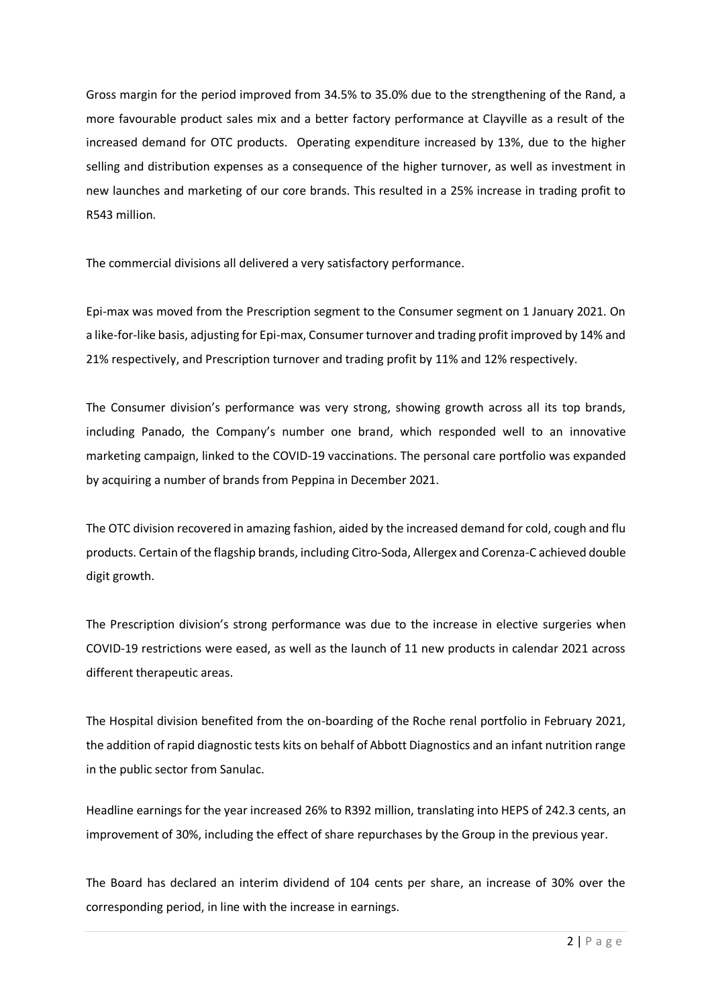Gross margin for the period improved from 34.5% to 35.0% due to the strengthening of the Rand, a more favourable product sales mix and a better factory performance at Clayville as a result of the increased demand for OTC products. Operating expenditure increased by 13%, due to the higher selling and distribution expenses as a consequence of the higher turnover, as well as investment in new launches and marketing of our core brands. This resulted in a 25% increase in trading profit to R543 million.

The commercial divisions all delivered a very satisfactory performance.

Epi-max was moved from the Prescription segment to the Consumer segment on 1 January 2021. On a like-for-like basis, adjusting for Epi-max, Consumer turnover and trading profit improved by 14% and 21% respectively, and Prescription turnover and trading profit by 11% and 12% respectively.

The Consumer division's performance was very strong, showing growth across all its top brands, including Panado, the Company's number one brand, which responded well to an innovative marketing campaign, linked to the COVID-19 vaccinations. The personal care portfolio was expanded by acquiring a number of brands from Peppina in December 2021.

The OTC division recovered in amazing fashion, aided by the increased demand for cold, cough and flu products. Certain of the flagship brands, including Citro-Soda, Allergex and Corenza-C achieved double digit growth.

The Prescription division's strong performance was due to the increase in elective surgeries when COVID-19 restrictions were eased, as well as the launch of 11 new products in calendar 2021 across different therapeutic areas.

The Hospital division benefited from the on-boarding of the Roche renal portfolio in February 2021, the addition of rapid diagnostic tests kits on behalf of Abbott Diagnostics and an infant nutrition range in the public sector from Sanulac.

Headline earnings for the year increased 26% to R392 million, translating into HEPS of 242.3 cents, an improvement of 30%, including the effect of share repurchases by the Group in the previous year.

The Board has declared an interim dividend of 104 cents per share, an increase of 30% over the corresponding period, in line with the increase in earnings.